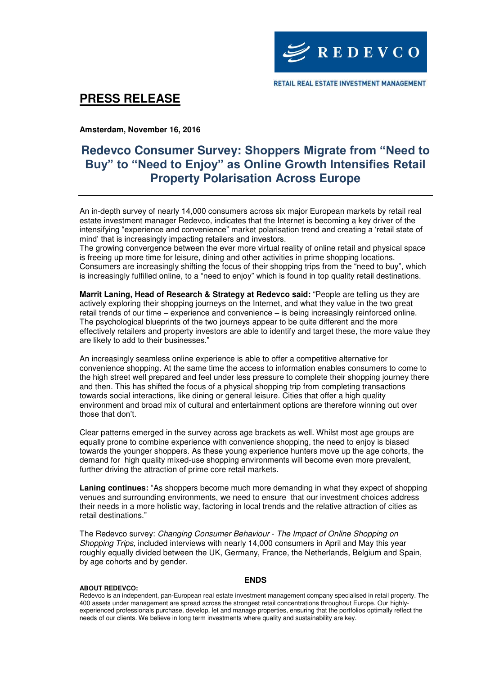

## **PRESS RELEASE**

**Amsterdam, November 16, 2016** 

## **Redevco Consumer Survey: Shoppers Migrate from "Need to Buy" to "Need to Enjoy" as Online Growth Intensifies Retail Property Polarisation Across Europe**

An in-depth survey of nearly 14,000 consumers across six major European markets by retail real estate investment manager Redevco, indicates that the Internet is becoming a key driver of the intensifying "experience and convenience" market polarisation trend and creating a 'retail state of mind' that is increasingly impacting retailers and investors.

The growing convergence between the ever more virtual reality of online retail and physical space is freeing up more time for leisure, dining and other activities in prime shopping locations. Consumers are increasingly shifting the focus of their shopping trips from the "need to buy", which is increasingly fulfilled online, to a "need to enjoy" which is found in top quality retail destinations.

**Marrit Laning, Head of Research & Strategy at Redevco said:** "People are telling us they are actively exploring their shopping journeys on the Internet, and what they value in the two great retail trends of our time – experience and convenience – is being increasingly reinforced online. The psychological blueprints of the two journeys appear to be quite different and the more effectively retailers and property investors are able to identify and target these, the more value they are likely to add to their businesses."

An increasingly seamless online experience is able to offer a competitive alternative for convenience shopping. At the same time the access to information enables consumers to come to the high street well prepared and feel under less pressure to complete their shopping journey there and then. This has shifted the focus of a physical shopping trip from completing transactions towards social interactions, like dining or general leisure. Cities that offer a high quality environment and broad mix of cultural and entertainment options are therefore winning out over those that don't.

Clear patterns emerged in the survey across age brackets as well. Whilst most age groups are equally prone to combine experience with convenience shopping, the need to enjoy is biased towards the younger shoppers. As these young experience hunters move up the age cohorts, the demand for high quality mixed-use shopping environments will become even more prevalent, further driving the attraction of prime core retail markets.

**Laning continues:** "As shoppers become much more demanding in what they expect of shopping venues and surrounding environments, we need to ensure that our investment choices address their needs in a more holistic way, factoring in local trends and the relative attraction of cities as retail destinations."

The Redevco survey: Changing Consumer Behaviour - The Impact of Online Shopping on Shopping Trips, included interviews with nearly 14,000 consumers in April and May this year roughly equally divided between the UK, Germany, France, the Netherlands, Belgium and Spain, by age cohorts and by gender.

### **ENDS**

#### **ABOUT REDEVCO:**

Redevco is an independent, pan-European real estate investment management company specialised in retail property. The 400 assets under management are spread across the strongest retail concentrations throughout Europe. Our highlyexperienced professionals purchase, develop, let and manage properties, ensuring that the portfolios optimally reflect the needs of our clients. We believe in long term investments where quality and sustainability are key.